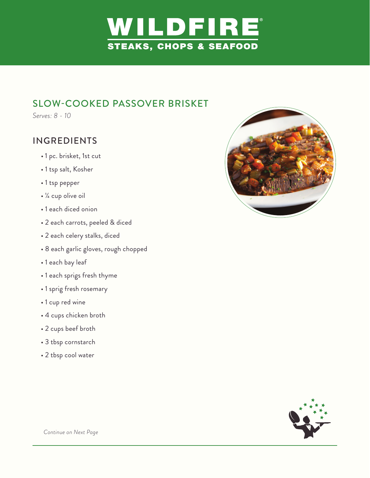

## SLOW-COOKED PASSOVER BRISKET

*Serves: 8 - 10*

## INGREDIENTS

- 1 pc. brisket, 1st cut
- 1 tsp salt, Kosher
- 1 tsp pepper
- ¼ cup olive oil
- 1 each diced onion
- 2 each carrots, peeled & diced
- 2 each celery stalks, diced
- 8 each garlic gloves, rough chopped
- 1 each bay leaf
- 1 each sprigs fresh thyme
- 1 sprig fresh rosemary
- 1 cup red wine
- 4 cups chicken broth
- 2 cups beef broth
- 3 tbsp cornstarch
- 2 tbsp cool water





 *Continue on Next Page*